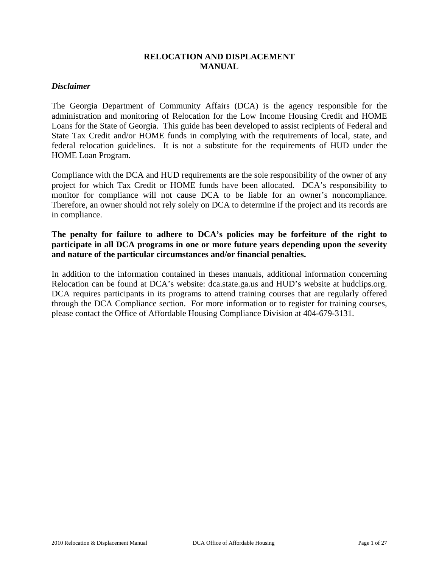# **RELOCATION AND DISPLACEMENT MANUAL**

#### *Disclaimer*

The Georgia Department of Community Affairs (DCA) is the agency responsible for the administration and monitoring of Relocation for the Low Income Housing Credit and HOME Loans for the State of Georgia. This guide has been developed to assist recipients of Federal and State Tax Credit and/or HOME funds in complying with the requirements of local, state, and federal relocation guidelines. It is not a substitute for the requirements of HUD under the HOME Loan Program.

Compliance with the DCA and HUD requirements are the sole responsibility of the owner of any project for which Tax Credit or HOME funds have been allocated. DCA's responsibility to monitor for compliance will not cause DCA to be liable for an owner's noncompliance. Therefore, an owner should not rely solely on DCA to determine if the project and its records are in compliance.

# **The penalty for failure to adhere to DCA's policies may be forfeiture of the right to participate in all DCA programs in one or more future years depending upon the severity and nature of the particular circumstances and/or financial penalties.**

In addition to the information contained in theses manuals, additional information concerning Relocation can be found at DCA's website: dca.state.ga.us and HUD's website at hudclips.org. DCA requires participants in its programs to attend training courses that are regularly offered through the DCA Compliance section. For more information or to register for training courses, please contact the Office of Affordable Housing Compliance Division at 404-679-3131.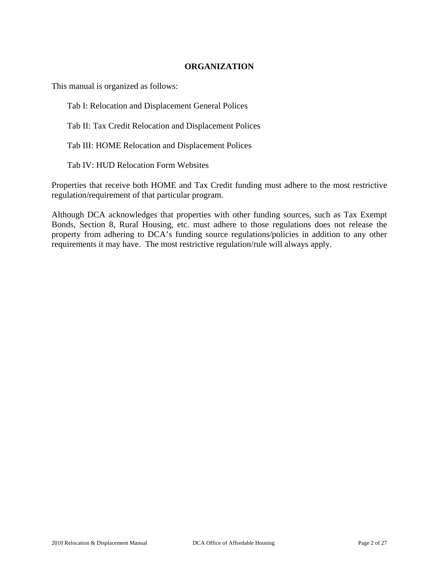## **ORGANIZATION**

This manual is organized as follows:

Tab I: Relocation and Displacement General Polices

Tab II: Tax Credit Relocation and Displacement Polices

Tab III: HOME Relocation and Displacement Polices

Tab IV: HUD Relocation Form Websites

Properties that receive both HOME and Tax Credit funding must adhere to the most restrictive regulation/requirement of that particular program.

Although DCA acknowledges that properties with other funding sources, such as Tax Exempt Bonds, Section 8, Rural Housing, etc. must adhere to those regulations does not release the property from adhering to DCA's funding source regulations/policies in addition to any other requirements it may have. The most restrictive regulation/rule will always apply.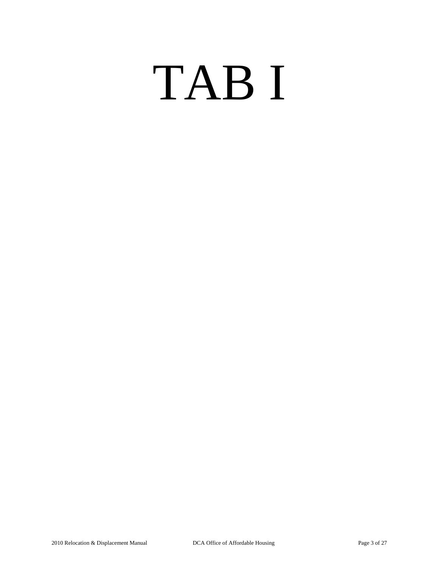# TAB I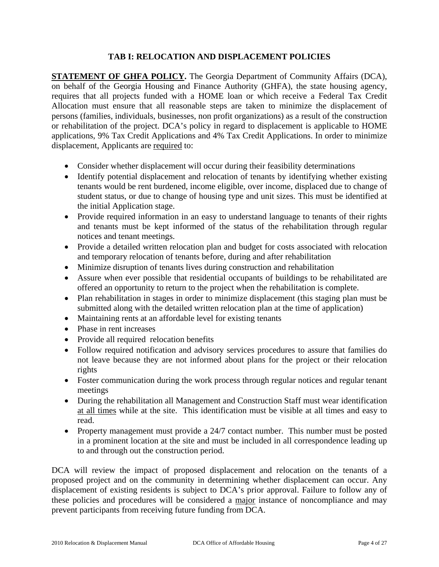## **TAB I: RELOCATION AND DISPLACEMENT POLICIES**

**STATEMENT OF GHFA POLICY.** The Georgia Department of Community Affairs (DCA), on behalf of the Georgia Housing and Finance Authority (GHFA), the state housing agency, requires that all projects funded with a HOME loan or which receive a Federal Tax Credit Allocation must ensure that all reasonable steps are taken to minimize the displacement of persons (families, individuals, businesses, non profit organizations) as a result of the construction or rehabilitation of the project. DCA's policy in regard to displacement is applicable to HOME applications, 9% Tax Credit Applications and 4% Tax Credit Applications. In order to minimize displacement, Applicants are required to:

- Consider whether displacement will occur during their feasibility determinations
- Identify potential displacement and relocation of tenants by identifying whether existing tenants would be rent burdened, income eligible, over income, displaced due to change of student status, or due to change of housing type and unit sizes. This must be identified at the initial Application stage.
- Provide required information in an easy to understand language to tenants of their rights and tenants must be kept informed of the status of the rehabilitation through regular notices and tenant meetings.
- Provide a detailed written relocation plan and budget for costs associated with relocation and temporary relocation of tenants before, during and after rehabilitation
- Minimize disruption of tenants lives during construction and rehabilitation
- Assure when ever possible that residential occupants of buildings to be rehabilitated are offered an opportunity to return to the project when the rehabilitation is complete.
- Plan rehabilitation in stages in order to minimize displacement (this staging plan must be submitted along with the detailed written relocation plan at the time of application)
- Maintaining rents at an affordable level for existing tenants
- Phase in rent increases
- Provide all required relocation benefits
- Follow required notification and advisory services procedures to assure that families do not leave because they are not informed about plans for the project or their relocation rights
- Foster communication during the work process through regular notices and regular tenant meetings
- During the rehabilitation all Management and Construction Staff must wear identification at all times while at the site. This identification must be visible at all times and easy to read.
- Property management must provide a 24/7 contact number. This number must be posted in a prominent location at the site and must be included in all correspondence leading up to and through out the construction period.

DCA will review the impact of proposed displacement and relocation on the tenants of a proposed project and on the community in determining whether displacement can occur. Any displacement of existing residents is subject to DCA's prior approval. Failure to follow any of these policies and procedures will be considered a major instance of noncompliance and may prevent participants from receiving future funding from DCA.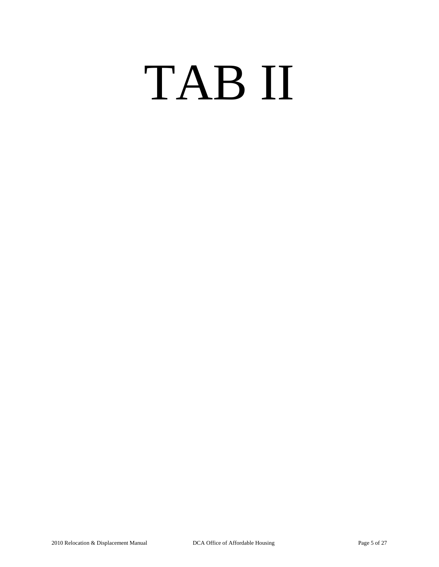# TAB II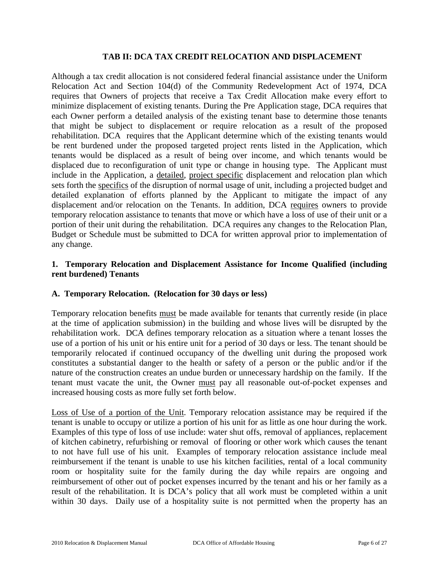## **TAB II: DCA TAX CREDIT RELOCATION AND DISPLACEMENT**

Although a tax credit allocation is not considered federal financial assistance under the Uniform Relocation Act and Section 104(d) of the Community Redevelopment Act of 1974, DCA requires that Owners of projects that receive a Tax Credit Allocation make every effort to minimize displacement of existing tenants. During the Pre Application stage, DCA requires that each Owner perform a detailed analysis of the existing tenant base to determine those tenants that might be subject to displacement or require relocation as a result of the proposed rehabilitation. DCA requires that the Applicant determine which of the existing tenants would be rent burdened under the proposed targeted project rents listed in the Application, which tenants would be displaced as a result of being over income, and which tenants would be displaced due to reconfiguration of unit type or change in housing type. The Applicant must include in the Application, a detailed, project specific displacement and relocation plan which sets forth the specifics of the disruption of normal usage of unit, including a projected budget and detailed explanation of efforts planned by the Applicant to mitigate the impact of any displacement and/or relocation on the Tenants. In addition, DCA requires owners to provide temporary relocation assistance to tenants that move or which have a loss of use of their unit or a portion of their unit during the rehabilitation. DCA requires any changes to the Relocation Plan, Budget or Schedule must be submitted to DCA for written approval prior to implementation of any change.

# **1. Temporary Relocation and Displacement Assistance for Income Qualified (including rent burdened) Tenants**

## **A. Temporary Relocation. (Relocation for 30 days or less)**

Temporary relocation benefits must be made available for tenants that currently reside (in place at the time of application submission) in the building and whose lives will be disrupted by the rehabilitation work. DCA defines temporary relocation as a situation where a tenant losses the use of a portion of his unit or his entire unit for a period of 30 days or less. The tenant should be temporarily relocated if continued occupancy of the dwelling unit during the proposed work constitutes a substantial danger to the health or safety of a person or the public and/or if the nature of the construction creates an undue burden or unnecessary hardship on the family. If the tenant must vacate the unit, the Owner must pay all reasonable out-of-pocket expenses and increased housing costs as more fully set forth below.

Loss of Use of a portion of the Unit. Temporary relocation assistance may be required if the tenant is unable to occupy or utilize a portion of his unit for as little as one hour during the work. Examples of this type of loss of use include: water shut offs, removal of appliances, replacement of kitchen cabinetry, refurbishing or removal of flooring or other work which causes the tenant to not have full use of his unit. Examples of temporary relocation assistance include meal reimbursement if the tenant is unable to use his kitchen facilities, rental of a local community room or hospitality suite for the family during the day while repairs are ongoing and reimbursement of other out of pocket expenses incurred by the tenant and his or her family as a result of the rehabilitation. It is DCA's policy that all work must be completed within a unit within 30 days. Daily use of a hospitality suite is not permitted when the property has an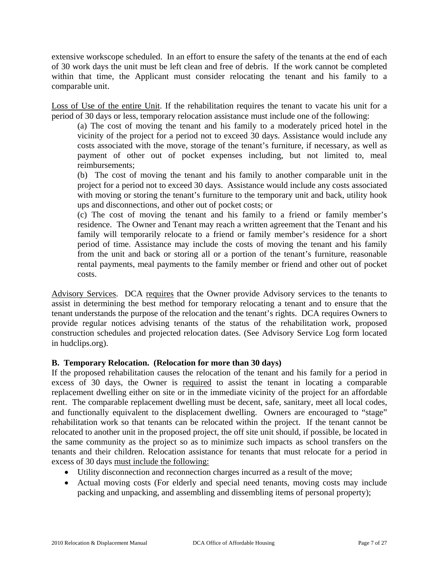extensive workscope scheduled. In an effort to ensure the safety of the tenants at the end of each of 30 work days the unit must be left clean and free of debris. If the work cannot be completed within that time, the Applicant must consider relocating the tenant and his family to a comparable unit.

Loss of Use of the entire Unit. If the rehabilitation requires the tenant to vacate his unit for a period of 30 days or less, temporary relocation assistance must include one of the following:

(a) The cost of moving the tenant and his family to a moderately priced hotel in the vicinity of the project for a period not to exceed 30 days. Assistance would include any costs associated with the move, storage of the tenant's furniture, if necessary, as well as payment of other out of pocket expenses including, but not limited to, meal reimbursements;

(b) The cost of moving the tenant and his family to another comparable unit in the project for a period not to exceed 30 days. Assistance would include any costs associated with moving or storing the tenant's furniture to the temporary unit and back, utility hook ups and disconnections, and other out of pocket costs; or

(c) The cost of moving the tenant and his family to a friend or family member's residence. The Owner and Tenant may reach a written agreement that the Tenant and his family will temporarily relocate to a friend or family member's residence for a short period of time. Assistance may include the costs of moving the tenant and his family from the unit and back or storing all or a portion of the tenant's furniture, reasonable rental payments, meal payments to the family member or friend and other out of pocket costs.

Advisory Services. DCA requires that the Owner provide Advisory services to the tenants to assist in determining the best method for temporary relocating a tenant and to ensure that the tenant understands the purpose of the relocation and the tenant's rights. DCA requires Owners to provide regular notices advising tenants of the status of the rehabilitation work, proposed construction schedules and projected relocation dates. (See Advisory Service Log form located in hudclips.org).

## **B. Temporary Relocation. (Relocation for more than 30 days)**

If the proposed rehabilitation causes the relocation of the tenant and his family for a period in excess of 30 days, the Owner is required to assist the tenant in locating a comparable replacement dwelling either on site or in the immediate vicinity of the project for an affordable rent. The comparable replacement dwelling must be decent, safe, sanitary, meet all local codes, and functionally equivalent to the displacement dwelling. Owners are encouraged to "stage" rehabilitation work so that tenants can be relocated within the project. If the tenant cannot be relocated to another unit in the proposed project, the off site unit should, if possible, be located in the same community as the project so as to minimize such impacts as school transfers on the tenants and their children. Relocation assistance for tenants that must relocate for a period in excess of 30 days must include the following:

- Utility disconnection and reconnection charges incurred as a result of the move;
- Actual moving costs (For elderly and special need tenants, moving costs may include packing and unpacking, and assembling and dissembling items of personal property);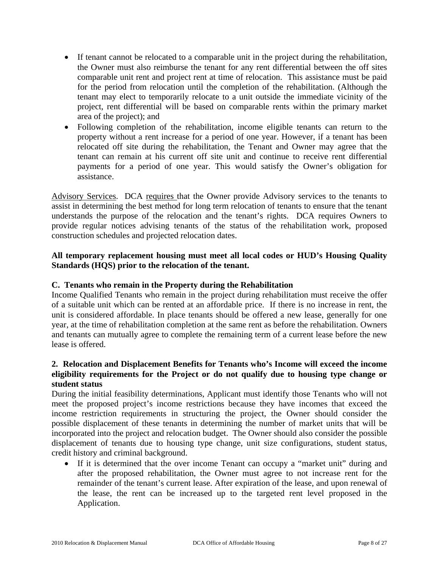- If tenant cannot be relocated to a comparable unit in the project during the rehabilitation, the Owner must also reimburse the tenant for any rent differential between the off sites comparable unit rent and project rent at time of relocation. This assistance must be paid for the period from relocation until the completion of the rehabilitation. (Although the tenant may elect to temporarily relocate to a unit outside the immediate vicinity of the project, rent differential will be based on comparable rents within the primary market area of the project); and
- Following completion of the rehabilitation, income eligible tenants can return to the property without a rent increase for a period of one year. However, if a tenant has been relocated off site during the rehabilitation, the Tenant and Owner may agree that the tenant can remain at his current off site unit and continue to receive rent differential payments for a period of one year. This would satisfy the Owner's obligation for assistance.

Advisory Services. DCA requires that the Owner provide Advisory services to the tenants to assist in determining the best method for long term relocation of tenants to ensure that the tenant understands the purpose of the relocation and the tenant's rights. DCA requires Owners to provide regular notices advising tenants of the status of the rehabilitation work, proposed construction schedules and projected relocation dates.

# **All temporary replacement housing must meet all local codes or HUD's Housing Quality Standards (HQS) prior to the relocation of the tenant.**

# **C. Tenants who remain in the Property during the Rehabilitation**

Income Qualified Tenants who remain in the project during rehabilitation must receive the offer of a suitable unit which can be rented at an affordable price. If there is no increase in rent, the unit is considered affordable. In place tenants should be offered a new lease, generally for one year, at the time of rehabilitation completion at the same rent as before the rehabilitation. Owners and tenants can mutually agree to complete the remaining term of a current lease before the new lease is offered.

# **2. Relocation and Displacement Benefits for Tenants who's Income will exceed the income eligibility requirements for the Project or do not qualify due to housing type change or student status**

During the initial feasibility determinations, Applicant must identify those Tenants who will not meet the proposed project's income restrictions because they have incomes that exceed the income restriction requirements in structuring the project, the Owner should consider the possible displacement of these tenants in determining the number of market units that will be incorporated into the project and relocation budget. The Owner should also consider the possible displacement of tenants due to housing type change, unit size configurations, student status, credit history and criminal background.

• If it is determined that the over income Tenant can occupy a "market unit" during and after the proposed rehabilitation, the Owner must agree to not increase rent for the remainder of the tenant's current lease. After expiration of the lease, and upon renewal of the lease, the rent can be increased up to the targeted rent level proposed in the Application.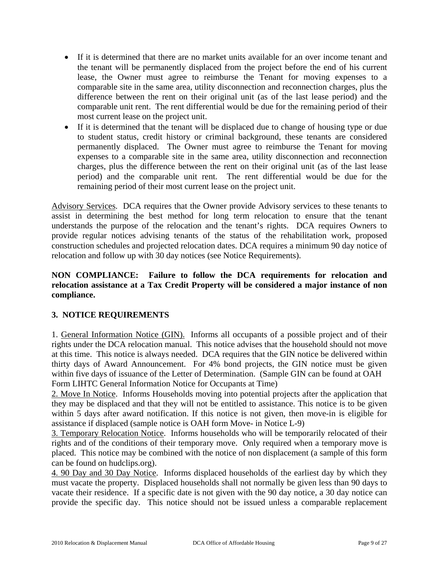- If it is determined that there are no market units available for an over income tenant and the tenant will be permanently displaced from the project before the end of his current lease, the Owner must agree to reimburse the Tenant for moving expenses to a comparable site in the same area, utility disconnection and reconnection charges, plus the difference between the rent on their original unit (as of the last lease period) and the comparable unit rent. The rent differential would be due for the remaining period of their most current lease on the project unit.
- If it is determined that the tenant will be displaced due to change of housing type or due to student status, credit history or criminal background, these tenants are considered permanently displaced. The Owner must agree to reimburse the Tenant for moving expenses to a comparable site in the same area, utility disconnection and reconnection charges, plus the difference between the rent on their original unit (as of the last lease period) and the comparable unit rent. The rent differential would be due for the remaining period of their most current lease on the project unit.

Advisory Services. DCA requires that the Owner provide Advisory services to these tenants to assist in determining the best method for long term relocation to ensure that the tenant understands the purpose of the relocation and the tenant's rights. DCA requires Owners to provide regular notices advising tenants of the status of the rehabilitation work, proposed construction schedules and projected relocation dates. DCA requires a minimum 90 day notice of relocation and follow up with 30 day notices (see Notice Requirements).

# **NON COMPLIANCE: Failure to follow the DCA requirements for relocation and relocation assistance at a Tax Credit Property will be considered a major instance of non compliance.**

# **3. NOTICE REQUIREMENTS**

1. General Information Notice (GIN). Informs all occupants of a possible project and of their rights under the DCA relocation manual. This notice advises that the household should not move at this time. This notice is always needed. DCA requires that the GIN notice be delivered within thirty days of Award Announcement. For 4% bond projects, the GIN notice must be given within five days of issuance of the Letter of Determination. (Sample GIN can be found at OAH Form LIHTC General Information Notice for Occupants at Time)

2. Move In Notice. Informs Households moving into potential projects after the application that they may be displaced and that they will not be entitled to assistance. This notice is to be given within 5 days after award notification. If this notice is not given, then move-in is eligible for assistance if displaced (sample notice is OAH form Move- in Notice L-9)

3. Temporary Relocation Notice. Informs households who will be temporarily relocated of their rights and of the conditions of their temporary move. Only required when a temporary move is placed. This notice may be combined with the notice of non displacement (a sample of this form can be found on hudclips.org).

4. 90 Day and 30 Day Notice. Informs displaced households of the earliest day by which they must vacate the property. Displaced households shall not normally be given less than 90 days to vacate their residence. If a specific date is not given with the 90 day notice, a 30 day notice can provide the specific day. This notice should not be issued unless a comparable replacement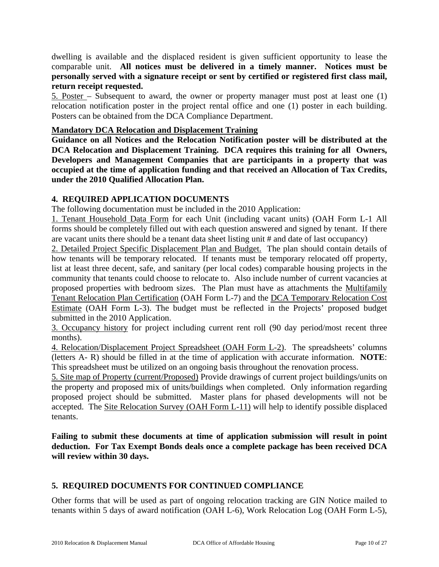dwelling is available and the displaced resident is given sufficient opportunity to lease the comparable unit. **All notices must be delivered in a timely manner. Notices must be personally served with a signature receipt or sent by certified or registered first class mail, return receipt requested.**

5. Poster – Subsequent to award, the owner or property manager must post at least one (1) relocation notification poster in the project rental office and one (1) poster in each building. Posters can be obtained from the DCA Compliance Department.

# **Mandatory DCA Relocation and Displacement Training**

**Guidance on all Notices and the Relocation Notification poster will be distributed at the DCA Relocation and Displacement Training. DCA requires this training for all Owners, Developers and Management Companies that are participants in a property that was occupied at the time of application funding and that received an Allocation of Tax Credits, under the 2010 Qualified Allocation Plan.** 

# **4. REQUIRED APPLICATION DOCUMENTS**

The following documentation must be included in the 2010 Application:

1. Tenant Household Data Form for each Unit (including vacant units) (OAH Form L-1 All forms should be completely filled out with each question answered and signed by tenant. If there are vacant units there should be a tenant data sheet listing unit # and date of last occupancy)

2. Detailed Project Specific Displacement Plan and Budget. The plan should contain details of how tenants will be temporary relocated. If tenants must be temporary relocated off property, list at least three decent, safe, and sanitary (per local codes) comparable housing projects in the community that tenants could choose to relocate to. Also include number of current vacancies at proposed properties with bedroom sizes. The Plan must have as attachments the Multifamily Tenant Relocation Plan Certification (OAH Form L-7) and the DCA Temporary Relocation Cost Estimate (OAH Form L-3). The budget must be reflected in the Projects' proposed budget submitted in the 2010 Application.

3. Occupancy history for project including current rent roll (90 day period/most recent three months).

4. Relocation/Displacement Project Spreadsheet (OAH Form L-2). The spreadsheets' columns (letters A- R) should be filled in at the time of application with accurate information. **NOTE**: This spreadsheet must be utilized on an ongoing basis throughout the renovation process.

5. Site map of Property (current/Proposed) Provide drawings of current project buildings/units on the property and proposed mix of units/buildings when completed. Only information regarding proposed project should be submitted. Master plans for phased developments will not be accepted. The Site Relocation Survey (OAH Form L-11) will help to identify possible displaced tenants.

**Failing to submit these documents at time of application submission will result in point deduction. For Tax Exempt Bonds deals once a complete package has been received DCA will review within 30 days.** 

# **5. REQUIRED DOCUMENTS FOR CONTINUED COMPLIANCE**

Other forms that will be used as part of ongoing relocation tracking are GIN Notice mailed to tenants within 5 days of award notification (OAH L-6), Work Relocation Log (OAH Form L-5),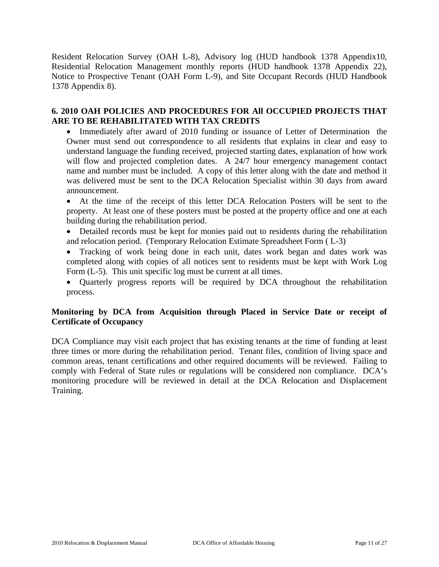Resident Relocation Survey (OAH L-8), Advisory log (HUD handbook 1378 Appendix10, Residential Relocation Management monthly reports (HUD handbook 1378 Appendix 22), Notice to Prospective Tenant (OAH Form L-9), and Site Occupant Records (HUD Handbook 1378 Appendix 8).

## **6. 2010 OAH POLICIES AND PROCEDURES FOR All OCCUPIED PROJECTS THAT ARE TO BE REHABILITATED WITH TAX CREDITS**

• Immediately after award of 2010 funding or issuance of Letter of Determination the Owner must send out correspondence to all residents that explains in clear and easy to understand language the funding received, projected starting dates, explanation of how work will flow and projected completion dates. A 24/7 hour emergency management contact name and number must be included. A copy of this letter along with the date and method it was delivered must be sent to the DCA Relocation Specialist within 30 days from award announcement.

• At the time of the receipt of this letter DCA Relocation Posters will be sent to the property. At least one of these posters must be posted at the property office and one at each building during the rehabilitation period.

• Detailed records must be kept for monies paid out to residents during the rehabilitation and relocation period. (Temporary Relocation Estimate Spreadsheet Form ( L-3)

• Tracking of work being done in each unit, dates work began and dates work was completed along with copies of all notices sent to residents must be kept with Work Log Form (L-5). This unit specific log must be current at all times.

• Quarterly progress reports will be required by DCA throughout the rehabilitation process.

# **Monitoring by DCA from Acquisition through Placed in Service Date or receipt of Certificate of Occupancy**

DCA Compliance may visit each project that has existing tenants at the time of funding at least three times or more during the rehabilitation period. Tenant files, condition of living space and common areas, tenant certifications and other required documents will be reviewed. Failing to comply with Federal of State rules or regulations will be considered non compliance. DCA's monitoring procedure will be reviewed in detail at the DCA Relocation and Displacement Training.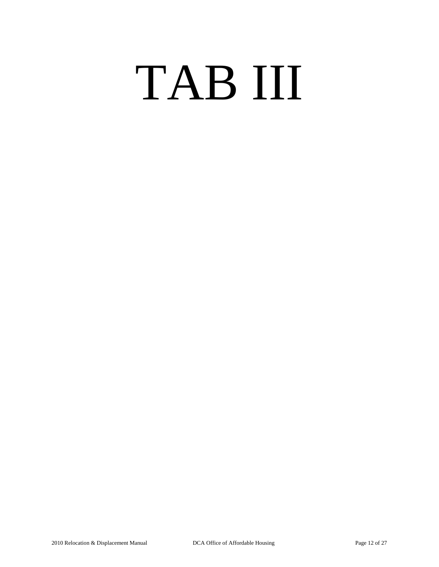# TAB III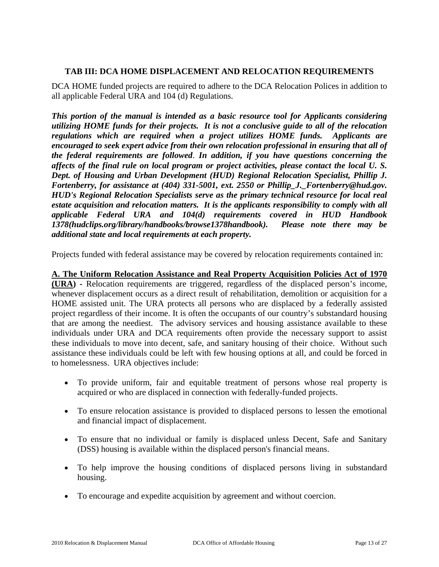## **TAB III: DCA HOME DISPLACEMENT AND RELOCATION REQUIREMENTS**

DCA HOME funded projects are required to adhere to the DCA Relocation Polices in addition to all applicable Federal URA and 104 (d) Regulations.

*This portion of the manual is intended as a basic resource tool for Applicants considering utilizing HOME funds for their projects. It is not a conclusive guide to all of the relocation regulations which are required when a project utilizes HOME funds. Applicants are encouraged to seek expert advice from their own relocation professional in ensuring that all of the federal requirements are followed*. *In addition, if you have questions concerning the affects of the final rule on local program or project activities, please contact the local U. S. Dept. of Housing and Urban Development (HUD) Regional Relocation Specialist, Phillip J. Fortenberry, for assistance at (404) 331-5001, ext. 2550 or Phillip\_J.\_Fortenberry@hud.gov. HUD's Regional Relocation Specialists serve as the primary technical resource for local real estate acquisition and relocation matters. It is the applicants responsibility to comply with all applicable Federal URA and 104(d) requirements covered in HUD Handbook 1378(hudclips.org/library/handbooks/browse1378handbook). Please note there may be additional state and local requirements at each property.*

Projects funded with federal assistance may be covered by relocation requirements contained in:

# **A. The Uniform Relocation Assistance and Real Property Acquisition Policies Act of 1970**

**(URA) -** Relocation requirements are triggered, regardless of the displaced person's income, whenever displacement occurs as a direct result of rehabilitation, demolition or acquisition for a HOME assisted unit. The URA protects all persons who are displaced by a federally assisted project regardless of their income. It is often the occupants of our country's substandard housing that are among the neediest. The advisory services and housing assistance available to these individuals under URA and DCA requirements often provide the necessary support to assist these individuals to move into decent, safe, and sanitary housing of their choice. Without such assistance these individuals could be left with few housing options at all, and could be forced in to homelessness. URA objectives include:

- To provide uniform, fair and equitable treatment of persons whose real property is acquired or who are displaced in connection with federally-funded projects.
- To ensure relocation assistance is provided to displaced persons to lessen the emotional and financial impact of displacement.
- To ensure that no individual or family is displaced unless Decent, Safe and Sanitary (DSS) housing is available within the displaced person's financial means.
- To help improve the housing conditions of displaced persons living in substandard housing.
- To encourage and expedite acquisition by agreement and without coercion.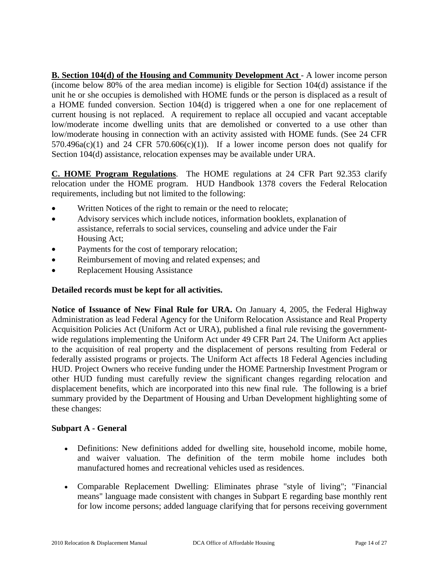**B. Section 104(d) of the Housing and Community Development Act** - A lower income person (income below 80% of the area median income) is eligible for Section 104(d) assistance if the unit he or she occupies is demolished with HOME funds or the person is displaced as a result of a HOME funded conversion. Section 104(d) is triggered when a one for one replacement of current housing is not replaced. A requirement to replace all occupied and vacant acceptable low/moderate income dwelling units that are demolished or converted to a use other than low/moderate housing in connection with an activity assisted with HOME funds. (See 24 CFR  $570.496a(c)(1)$  and 24 CFR  $570.606(c)(1)$ ). If a lower income person does not qualify for Section 104(d) assistance, relocation expenses may be available under URA.

**C. HOME Program Regulations**. The HOME regulations at 24 CFR Part 92.353 clarify relocation under the HOME program. HUD Handbook 1378 covers the Federal Relocation requirements, including but not limited to the following:

- Written Notices of the right to remain or the need to relocate;
- Advisory services which include notices, information booklets, explanation of assistance, referrals to social services, counseling and advice under the Fair Housing Act;
- Payments for the cost of temporary relocation;
- Reimbursement of moving and related expenses; and
- Replacement Housing Assistance

# **Detailed records must be kept for all activities.**

**Notice of Issuance of New Final Rule for URA.** On January 4, 2005, the Federal Highway Administration as lead Federal Agency for the Uniform Relocation Assistance and Real Property Acquisition Policies Act (Uniform Act or URA), published a final rule revising the governmentwide regulations implementing the Uniform Act under 49 CFR Part 24. The Uniform Act applies to the acquisition of real property and the displacement of persons resulting from Federal or federally assisted programs or projects. The Uniform Act affects 18 Federal Agencies including HUD. Project Owners who receive funding under the HOME Partnership Investment Program or other HUD funding must carefully review the significant changes regarding relocation and displacement benefits, which are incorporated into this new final rule. The following is a brief summary provided by the Department of Housing and Urban Development highlighting some of these changes:

# **Subpart A - General**

- Definitions: New definitions added for dwelling site, household income, mobile home, and waiver valuation. The definition of the term mobile home includes both manufactured homes and recreational vehicles used as residences.
- Comparable Replacement Dwelling: Eliminates phrase "style of living"; "Financial means" language made consistent with changes in Subpart E regarding base monthly rent for low income persons; added language clarifying that for persons receiving government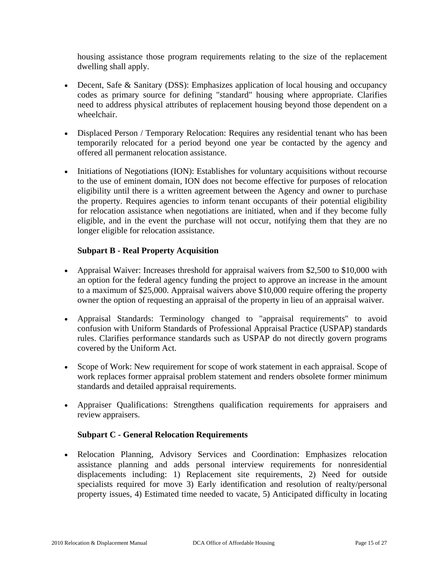housing assistance those program requirements relating to the size of the replacement dwelling shall apply.

- Decent, Safe & Sanitary (DSS): Emphasizes application of local housing and occupancy codes as primary source for defining "standard" housing where appropriate. Clarifies need to address physical attributes of replacement housing beyond those dependent on a wheelchair.
- Displaced Person / Temporary Relocation: Requires any residential tenant who has been temporarily relocated for a period beyond one year be contacted by the agency and offered all permanent relocation assistance.
- Initiations of Negotiations (ION): Establishes for voluntary acquisitions without recourse to the use of eminent domain, ION does not become effective for purposes of relocation eligibility until there is a written agreement between the Agency and owner to purchase the property. Requires agencies to inform tenant occupants of their potential eligibility for relocation assistance when negotiations are initiated, when and if they become fully eligible, and in the event the purchase will not occur, notifying them that they are no longer eligible for relocation assistance.

# **Subpart B - Real Property Acquisition**

- Appraisal Waiver: Increases threshold for appraisal waivers from \$2,500 to \$10,000 with an option for the federal agency funding the project to approve an increase in the amount to a maximum of \$25,000. Appraisal waivers above \$10,000 require offering the property owner the option of requesting an appraisal of the property in lieu of an appraisal waiver.
- Appraisal Standards: Terminology changed to "appraisal requirements" to avoid confusion with Uniform Standards of Professional Appraisal Practice (USPAP) standards rules. Clarifies performance standards such as USPAP do not directly govern programs covered by the Uniform Act.
- Scope of Work: New requirement for scope of work statement in each appraisal. Scope of work replaces former appraisal problem statement and renders obsolete former minimum standards and detailed appraisal requirements.
- Appraiser Qualifications: Strengthens qualification requirements for appraisers and review appraisers.

# **Subpart C - General Relocation Requirements**

• Relocation Planning, Advisory Services and Coordination: Emphasizes relocation assistance planning and adds personal interview requirements for nonresidential displacements including: 1) Replacement site requirements, 2) Need for outside specialists required for move 3) Early identification and resolution of realty/personal property issues, 4) Estimated time needed to vacate, 5) Anticipated difficulty in locating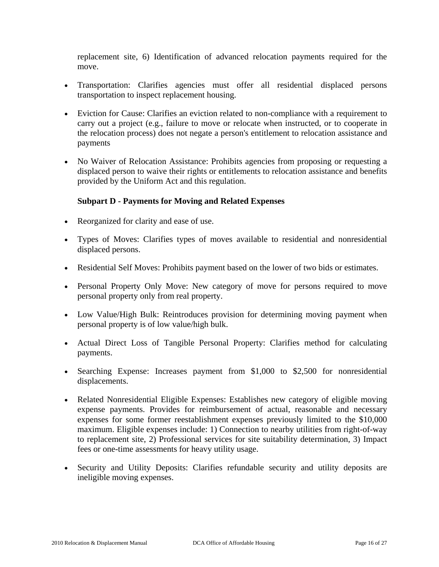replacement site, 6) Identification of advanced relocation payments required for the move.

- Transportation: Clarifies agencies must offer all residential displaced persons transportation to inspect replacement housing.
- Eviction for Cause: Clarifies an eviction related to non-compliance with a requirement to carry out a project (e.g., failure to move or relocate when instructed, or to cooperate in the relocation process) does not negate a person's entitlement to relocation assistance and payments
- No Waiver of Relocation Assistance: Prohibits agencies from proposing or requesting a displaced person to waive their rights or entitlements to relocation assistance and benefits provided by the Uniform Act and this regulation.

## **Subpart D - Payments for Moving and Related Expenses**

- Reorganized for clarity and ease of use.
- Types of Moves: Clarifies types of moves available to residential and nonresidential displaced persons.
- Residential Self Moves: Prohibits payment based on the lower of two bids or estimates.
- Personal Property Only Move: New category of move for persons required to move personal property only from real property.
- Low Value/High Bulk: Reintroduces provision for determining moving payment when personal property is of low value/high bulk.
- Actual Direct Loss of Tangible Personal Property: Clarifies method for calculating payments.
- Searching Expense: Increases payment from \$1,000 to \$2,500 for nonresidential displacements.
- Related Nonresidential Eligible Expenses: Establishes new category of eligible moving expense payments. Provides for reimbursement of actual, reasonable and necessary expenses for some former reestablishment expenses previously limited to the \$10,000 maximum. Eligible expenses include: 1) Connection to nearby utilities from right-of-way to replacement site, 2) Professional services for site suitability determination, 3) Impact fees or one-time assessments for heavy utility usage.
- Security and Utility Deposits: Clarifies refundable security and utility deposits are ineligible moving expenses.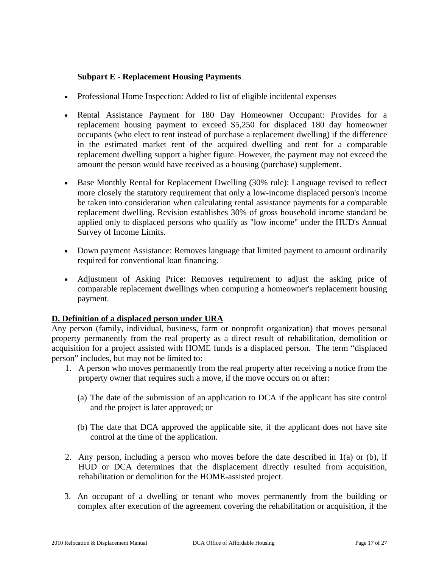# **Subpart E - Replacement Housing Payments**

- Professional Home Inspection: Added to list of eligible incidental expenses
- Rental Assistance Payment for 180 Day Homeowner Occupant: Provides for a replacement housing payment to exceed \$5,250 for displaced 180 day homeowner occupants (who elect to rent instead of purchase a replacement dwelling) if the difference in the estimated market rent of the acquired dwelling and rent for a comparable replacement dwelling support a higher figure. However, the payment may not exceed the amount the person would have received as a housing (purchase) supplement.
- Base Monthly Rental for Replacement Dwelling (30% rule): Language revised to reflect more closely the statutory requirement that only a low-income displaced person's income be taken into consideration when calculating rental assistance payments for a comparable replacement dwelling. Revision establishes 30% of gross household income standard be applied only to displaced persons who qualify as "low income" under the HUD's Annual Survey of Income Limits.
- Down payment Assistance: Removes language that limited payment to amount ordinarily required for conventional loan financing.
- Adjustment of Asking Price: Removes requirement to adjust the asking price of comparable replacement dwellings when computing a homeowner's replacement housing payment.

## **D. Definition of a displaced person under URA**

Any person (family, individual, business, farm or nonprofit organization) that moves personal property permanently from the real property as a direct result of rehabilitation, demolition or acquisition for a project assisted with HOME funds is a displaced person. The term "displaced person" includes, but may not be limited to:

- 1. A person who moves permanently from the real property after receiving a notice from the property owner that requires such a move, if the move occurs on or after:
	- (a) The date of the submission of an application to DCA if the applicant has site control and the project is later approved; or
	- (b) The date that DCA approved the applicable site, if the applicant does not have site control at the time of the application.
- 2. Any person, including a person who moves before the date described in 1(a) or (b), if HUD or DCA determines that the displacement directly resulted from acquisition, rehabilitation or demolition for the HOME-assisted project.
- 3. An occupant of a dwelling or tenant who moves permanently from the building or complex after execution of the agreement covering the rehabilitation or acquisition, if the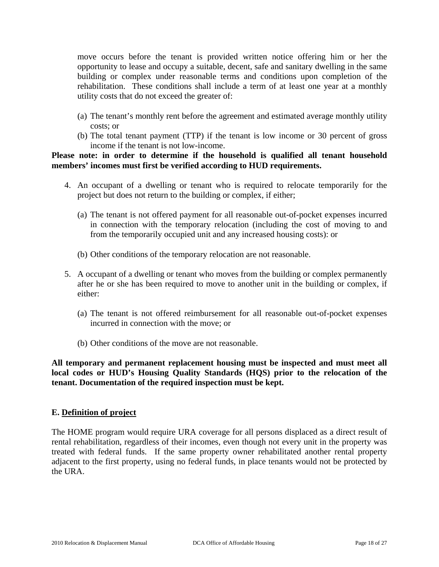move occurs before the tenant is provided written notice offering him or her the opportunity to lease and occupy a suitable, decent, safe and sanitary dwelling in the same building or complex under reasonable terms and conditions upon completion of the rehabilitation. These conditions shall include a term of at least one year at a monthly utility costs that do not exceed the greater of:

- (a) The tenant's monthly rent before the agreement and estimated average monthly utility costs; or
- (b) The total tenant payment (TTP) if the tenant is low income or 30 percent of gross income if the tenant is not low-income.

## **Please note: in order to determine if the household is qualified all tenant household members' incomes must first be verified according to HUD requirements.**

- 4. An occupant of a dwelling or tenant who is required to relocate temporarily for the project but does not return to the building or complex, if either;
	- (a) The tenant is not offered payment for all reasonable out-of-pocket expenses incurred in connection with the temporary relocation (including the cost of moving to and from the temporarily occupied unit and any increased housing costs): or
	- (b) Other conditions of the temporary relocation are not reasonable.
- 5. A occupant of a dwelling or tenant who moves from the building or complex permanently after he or she has been required to move to another unit in the building or complex, if either:
	- (a) The tenant is not offered reimbursement for all reasonable out-of-pocket expenses incurred in connection with the move; or
	- (b) Other conditions of the move are not reasonable.

**All temporary and permanent replacement housing must be inspected and must meet all local codes or HUD's Housing Quality Standards (HQS) prior to the relocation of the tenant. Documentation of the required inspection must be kept.** 

## **E. Definition of project**

The HOME program would require URA coverage for all persons displaced as a direct result of rental rehabilitation, regardless of their incomes, even though not every unit in the property was treated with federal funds. If the same property owner rehabilitated another rental property adjacent to the first property, using no federal funds, in place tenants would not be protected by the URA.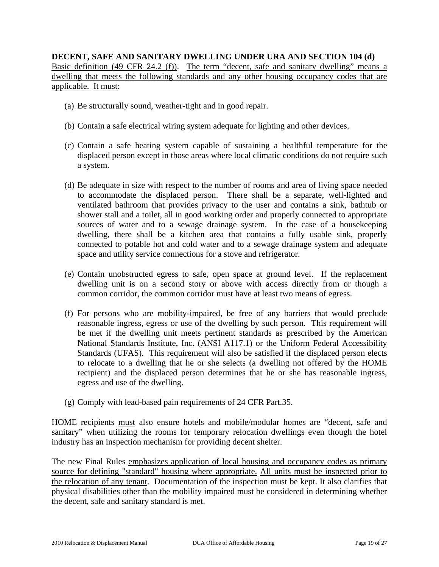**DECENT, SAFE AND SANITARY DWELLING UNDER URA AND SECTION 104 (d)**  Basic definition (49 CFR 24.2 (f)). The term "decent, safe and sanitary dwelling" means a dwelling that meets the following standards and any other housing occupancy codes that are applicable. It must:

- (a) Be structurally sound, weather-tight and in good repair.
- (b) Contain a safe electrical wiring system adequate for lighting and other devices.
- (c) Contain a safe heating system capable of sustaining a healthful temperature for the displaced person except in those areas where local climatic conditions do not require such a system.
- (d) Be adequate in size with respect to the number of rooms and area of living space needed to accommodate the displaced person. There shall be a separate, well-lighted and ventilated bathroom that provides privacy to the user and contains a sink, bathtub or shower stall and a toilet, all in good working order and properly connected to appropriate sources of water and to a sewage drainage system. In the case of a housekeeping dwelling, there shall be a kitchen area that contains a fully usable sink, properly connected to potable hot and cold water and to a sewage drainage system and adequate space and utility service connections for a stove and refrigerator.
- (e) Contain unobstructed egress to safe, open space at ground level. If the replacement dwelling unit is on a second story or above with access directly from or though a common corridor, the common corridor must have at least two means of egress.
- (f) For persons who are mobility-impaired, be free of any barriers that would preclude reasonable ingress, egress or use of the dwelling by such person. This requirement will be met if the dwelling unit meets pertinent standards as prescribed by the American National Standards Institute, Inc. (ANSI A117.1) or the Uniform Federal Accessibility Standards (UFAS). This requirement will also be satisfied if the displaced person elects to relocate to a dwelling that he or she selects (a dwelling not offered by the HOME recipient) and the displaced person determines that he or she has reasonable ingress, egress and use of the dwelling.
- (g) Comply with lead-based pain requirements of 24 CFR Part.35.

HOME recipients must also ensure hotels and mobile/modular homes are "decent, safe and sanitary" when utilizing the rooms for temporary relocation dwellings even though the hotel industry has an inspection mechanism for providing decent shelter.

The new Final Rules emphasizes application of local housing and occupancy codes as primary source for defining "standard" housing where appropriate. All units must be inspected prior to the relocation of any tenant. Documentation of the inspection must be kept. It also clarifies that physical disabilities other than the mobility impaired must be considered in determining whether the decent, safe and sanitary standard is met.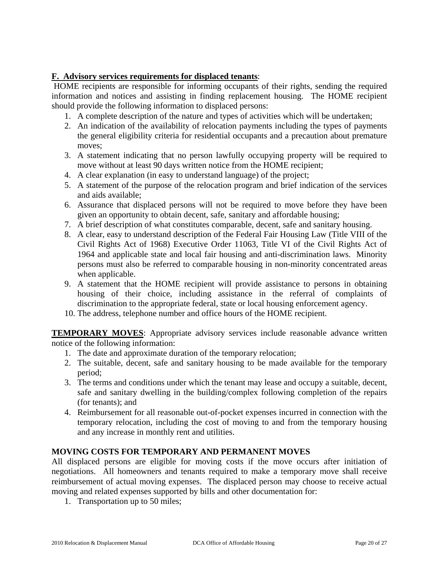# **F. Advisory services requirements for displaced tenants**:

 HOME recipients are responsible for informing occupants of their rights, sending the required information and notices and assisting in finding replacement housing. The HOME recipient should provide the following information to displaced persons:

- 1. A complete description of the nature and types of activities which will be undertaken;
- 2. An indication of the availability of relocation payments including the types of payments the general eligibility criteria for residential occupants and a precaution about premature moves;
- 3. A statement indicating that no person lawfully occupying property will be required to move without at least 90 days written notice from the HOME recipient;
- 4. A clear explanation (in easy to understand language) of the project;
- 5. A statement of the purpose of the relocation program and brief indication of the services and aids available;
- 6. Assurance that displaced persons will not be required to move before they have been given an opportunity to obtain decent, safe, sanitary and affordable housing;
- 7. A brief description of what constitutes comparable, decent, safe and sanitary housing.
- 8. A clear, easy to understand description of the Federal Fair Housing Law (Title VIII of the Civil Rights Act of 1968) Executive Order 11063, Title VI of the Civil Rights Act of 1964 and applicable state and local fair housing and anti-discrimination laws. Minority persons must also be referred to comparable housing in non-minority concentrated areas when applicable.
- 9. A statement that the HOME recipient will provide assistance to persons in obtaining housing of their choice, including assistance in the referral of complaints of discrimination to the appropriate federal, state or local housing enforcement agency.
- 10. The address, telephone number and office hours of the HOME recipient.

**TEMPORARY MOVES:** Appropriate advisory services include reasonable advance written notice of the following information:

- 1. The date and approximate duration of the temporary relocation;
- 2. The suitable, decent, safe and sanitary housing to be made available for the temporary period;
- 3. The terms and conditions under which the tenant may lease and occupy a suitable, decent, safe and sanitary dwelling in the building/complex following completion of the repairs (for tenants); and
- 4. Reimbursement for all reasonable out-of-pocket expenses incurred in connection with the temporary relocation, including the cost of moving to and from the temporary housing and any increase in monthly rent and utilities.

## **MOVING COSTS FOR TEMPORARY AND PERMANENT MOVES**

All displaced persons are eligible for moving costs if the move occurs after initiation of negotiations. All homeowners and tenants required to make a temporary move shall receive reimbursement of actual moving expenses. The displaced person may choose to receive actual moving and related expenses supported by bills and other documentation for:

1. Transportation up to 50 miles;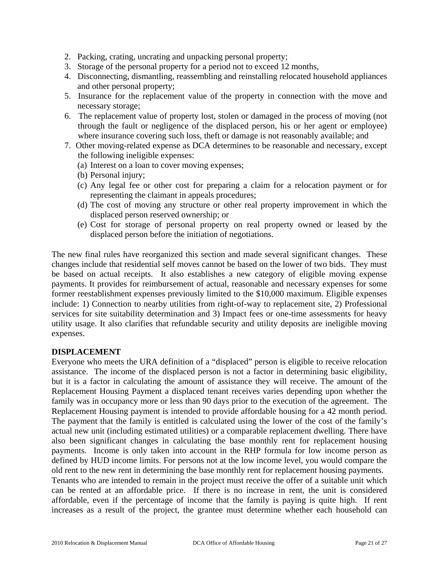- 2. Packing, crating, uncrating and unpacking personal property;
- 3. Storage of the personal property for a period not to exceed 12 months,
- 4. Disconnecting, dismantling, reassembling and reinstalling relocated household appliances and other personal property;
- 5. Insurance for the replacement value of the property in connection with the move and necessary storage;
- 6. The replacement value of property lost, stolen or damaged in the process of moving (not through the fault or negligence of the displaced person, his or her agent or employee) where insurance covering such loss, theft or damage is not reasonably available; and
- 7. Other moving-related expense as DCA determines to be reasonable and necessary, except the following ineligible expenses:
	- (a) Interest on a loan to cover moving expenses;
	- (b) Personal injury;
	- (c) Any legal fee or other cost for preparing a claim for a relocation payment or for representing the claimant in appeals procedures;
	- (d) The cost of moving any structure or other real property improvement in which the displaced person reserved ownership; or
	- (e) Cost for storage of personal property on real property owned or leased by the displaced person before the initiation of negotiations.

The new final rules have reorganized this section and made several significant changes. These changes include that residential self moves cannot be based on the lower of two bids. They must be based on actual receipts. It also establishes a new category of eligible moving expense payments. It provides for reimbursement of actual, reasonable and necessary expenses for some former reestablishment expenses previously limited to the \$10,000 maximum. Eligible expenses include: 1) Connection to nearby utilities from right-of-way to replacement site, 2) Professional services for site suitability determination and 3) Impact fees or one-time assessments for heavy utility usage. It also clarifies that refundable security and utility deposits are ineligible moving expenses.

#### **DISPLACEMENT**

Everyone who meets the URA definition of a "displaced" person is eligible to receive relocation assistance. The income of the displaced person is not a factor in determining basic eligibility, but it is a factor in calculating the amount of assistance they will receive. The amount of the Replacement Housing Payment a displaced tenant receives varies depending upon whether the family was in occupancy more or less than 90 days prior to the execution of the agreement. The Replacement Housing payment is intended to provide affordable housing for a 42 month period. The payment that the family is entitled is calculated using the lower of the cost of the family's actual new unit (including estimated utilities) or a comparable replacement dwelling. There have also been significant changes in calculating the base monthly rent for replacement housing payments. Income is only taken into account in the RHP formula for low income person as defined by HUD income limits. For persons not at the low income level, you would compare the old rent to the new rent in determining the base monthly rent for replacement housing payments. Tenants who are intended to remain in the project must receive the offer of a suitable unit which can be rented at an affordable price. If there is no increase in rent, the unit is considered affordable, even if the percentage of income that the family is paying is quite high. If rent

increases as a result of the project, the grantee must determine whether each household can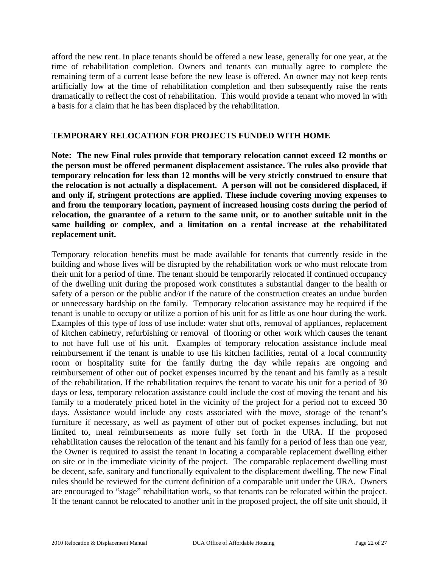afford the new rent. In place tenants should be offered a new lease, generally for one year, at the time of rehabilitation completion. Owners and tenants can mutually agree to complete the remaining term of a current lease before the new lease is offered. An owner may not keep rents artificially low at the time of rehabilitation completion and then subsequently raise the rents dramatically to reflect the cost of rehabilitation. This would provide a tenant who moved in with a basis for a claim that he has been displaced by the rehabilitation.

## **TEMPORARY RELOCATION FOR PROJECTS FUNDED WITH HOME**

**Note: The new Final rules provide that temporary relocation cannot exceed 12 months or the person must be offered permanent displacement assistance. The rules also provide that temporary relocation for less than 12 months will be very strictly construed to ensure that the relocation is not actually a displacement. A person will not be considered displaced, if and only if, stringent protections are applied. These include covering moving expenses to and from the temporary location, payment of increased housing costs during the period of relocation, the guarantee of a return to the same unit, or to another suitable unit in the same building or complex, and a limitation on a rental increase at the rehabilitated replacement unit.** 

Temporary relocation benefits must be made available for tenants that currently reside in the building and whose lives will be disrupted by the rehabilitation work or who must relocate from their unit for a period of time. The tenant should be temporarily relocated if continued occupancy of the dwelling unit during the proposed work constitutes a substantial danger to the health or safety of a person or the public and/or if the nature of the construction creates an undue burden or unnecessary hardship on the family. Temporary relocation assistance may be required if the tenant is unable to occupy or utilize a portion of his unit for as little as one hour during the work. Examples of this type of loss of use include: water shut offs, removal of appliances, replacement of kitchen cabinetry, refurbishing or removal of flooring or other work which causes the tenant to not have full use of his unit. Examples of temporary relocation assistance include meal reimbursement if the tenant is unable to use his kitchen facilities, rental of a local community room or hospitality suite for the family during the day while repairs are ongoing and reimbursement of other out of pocket expenses incurred by the tenant and his family as a result of the rehabilitation. If the rehabilitation requires the tenant to vacate his unit for a period of 30 days or less, temporary relocation assistance could include the cost of moving the tenant and his family to a moderately priced hotel in the vicinity of the project for a period not to exceed 30 days. Assistance would include any costs associated with the move, storage of the tenant's furniture if necessary, as well as payment of other out of pocket expenses including, but not limited to, meal reimbursements as more fully set forth in the URA. If the proposed rehabilitation causes the relocation of the tenant and his family for a period of less than one year, the Owner is required to assist the tenant in locating a comparable replacement dwelling either on site or in the immediate vicinity of the project. The comparable replacement dwelling must be decent, safe, sanitary and functionally equivalent to the displacement dwelling. The new Final rules should be reviewed for the current definition of a comparable unit under the URA. Owners are encouraged to "stage" rehabilitation work, so that tenants can be relocated within the project. If the tenant cannot be relocated to another unit in the proposed project, the off site unit should, if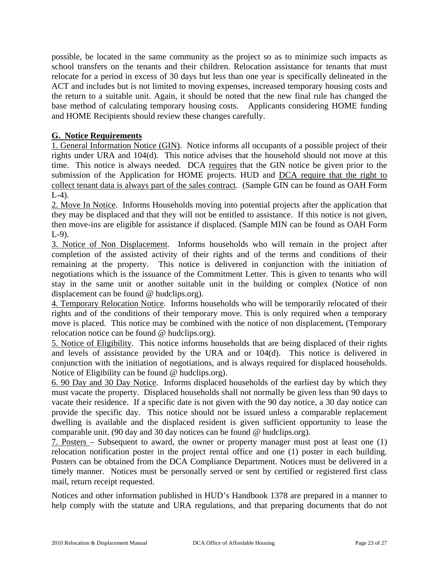possible, be located in the same community as the project so as to minimize such impacts as school transfers on the tenants and their children. Relocation assistance for tenants that must relocate for a period in excess of 30 days but less than one year is specifically delineated in the ACT and includes but is not limited to moving expenses, increased temporary housing costs and the return to a suitable unit. Again, it should be noted that the new final rule has changed the base method of calculating temporary housing costs. Applicants considering HOME funding and HOME Recipients should review these changes carefully.

# **G. Notice Requirements**

1. General Information Notice (GIN). Notice informs all occupants of a possible project of their rights under URA and 104(d). This notice advises that the household should not move at this time. This notice is always needed. DCA requires that the GIN notice be given prior to the submission of the Application for HOME projects. HUD and DCA require that the right to collect tenant data is always part of the sales contract. (Sample GIN can be found as OAH Form  $L-4$ ).

2. Move In Notice. Informs Households moving into potential projects after the application that they may be displaced and that they will not be entitled to assistance. If this notice is not given, then move-ins are eligible for assistance if displaced. (Sample MIN can be found as OAH Form L-9).

3. Notice of Non Displacement. Informs households who will remain in the project after completion of the assisted activity of their rights and of the terms and conditions of their remaining at the property. This notice is delivered in conjunction with the initiation of negotiations which is the issuance of the Commitment Letter. This is given to tenants who will stay in the same unit or another suitable unit in the building or complex (Notice of non displacement can be found @ hudclips.org).

4. Temporary Relocation Notice. Informs households who will be temporarily relocated of their rights and of the conditions of their temporary move. This is only required when a temporary move is placed. This notice may be combined with the notice of non displacement**.** (Temporary relocation notice can be found @ hudclips.org).

5. Notice of Eligibility. This notice informs households that are being displaced of their rights and levels of assistance provided by the URA and or 104(d). This notice is delivered in conjunction with the initiation of negotiations, and is always required for displaced households. Notice of Eligibility can be found @ hudclips.org).

6. 90 Day and 30 Day Notice. Informs displaced households of the earliest day by which they must vacate the property. Displaced households shall not normally be given less than 90 days to vacate their residence. If a specific date is not given with the 90 day notice, a 30 day notice can provide the specific day. This notice should not be issued unless a comparable replacement dwelling is available and the displaced resident is given sufficient opportunity to lease the comparable unit. (90 day and 30 day notices can be found @ hudclips.org).

7. Posters – Subsequent to award, the owner or property manager must post at least one (1) relocation notification poster in the project rental office and one (1) poster in each building. Posters can be obtained from the DCA Compliance Department. Notices must be delivered in a timely manner. Notices must be personally served or sent by certified or registered first class mail, return receipt requested.

Notices and other information published in HUD's Handbook 1378 are prepared in a manner to help comply with the statute and URA regulations, and that preparing documents that do not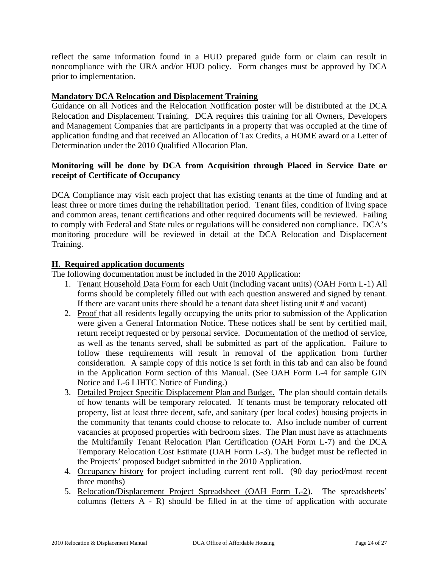reflect the same information found in a HUD prepared guide form or claim can result in noncompliance with the URA and/or HUD policy. Form changes must be approved by DCA prior to implementation.

# **Mandatory DCA Relocation and Displacement Training**

Guidance on all Notices and the Relocation Notification poster will be distributed at the DCA Relocation and Displacement Training. DCA requires this training for all Owners, Developers and Management Companies that are participants in a property that was occupied at the time of application funding and that received an Allocation of Tax Credits, a HOME award or a Letter of Determination under the 2010 Qualified Allocation Plan.

# **Monitoring will be done by DCA from Acquisition through Placed in Service Date or receipt of Certificate of Occupancy**

DCA Compliance may visit each project that has existing tenants at the time of funding and at least three or more times during the rehabilitation period. Tenant files, condition of living space and common areas, tenant certifications and other required documents will be reviewed. Failing to comply with Federal and State rules or regulations will be considered non compliance. DCA's monitoring procedure will be reviewed in detail at the DCA Relocation and Displacement Training.

# **H. Required application documents**

The following documentation must be included in the 2010 Application:

- 1. Tenant Household Data Form for each Unit (including vacant units) (OAH Form L-1) All forms should be completely filled out with each question answered and signed by tenant. If there are vacant units there should be a tenant data sheet listing unit # and vacant)
- 2. Proof that all residents legally occupying the units prior to submission of the Application were given a General Information Notice. These notices shall be sent by certified mail, return receipt requested or by personal service. Documentation of the method of service, as well as the tenants served, shall be submitted as part of the application. Failure to follow these requirements will result in removal of the application from further consideration. A sample copy of this notice is set forth in this tab and can also be found in the Application Form section of this Manual. (See OAH Form L-4 for sample GIN Notice and L-6 LIHTC Notice of Funding.)
- 3. Detailed Project Specific Displacement Plan and Budget. The plan should contain details of how tenants will be temporary relocated. If tenants must be temporary relocated off property, list at least three decent, safe, and sanitary (per local codes) housing projects in the community that tenants could choose to relocate to. Also include number of current vacancies at proposed properties with bedroom sizes. The Plan must have as attachments the Multifamily Tenant Relocation Plan Certification (OAH Form L-7) and the DCA Temporary Relocation Cost Estimate (OAH Form L-3). The budget must be reflected in the Projects' proposed budget submitted in the 2010 Application.
- 4. Occupancy history for project including current rent roll. (90 day period/most recent three months)
- 5. Relocation/Displacement Project Spreadsheet (OAH Form L-2). The spreadsheets' columns (letters A - R) should be filled in at the time of application with accurate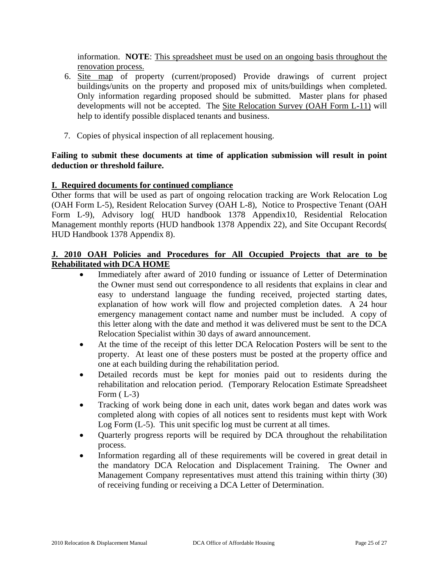information. **NOTE**: This spreadsheet must be used on an ongoing basis throughout the renovation process.

- 6. Site map of property (current/proposed) Provide drawings of current project buildings/units on the property and proposed mix of units/buildings when completed. Only information regarding proposed should be submitted. Master plans for phased developments will not be accepted. The Site Relocation Survey (OAH Form L-11) will help to identify possible displaced tenants and business.
- 7. Copies of physical inspection of all replacement housing.

## **Failing to submit these documents at time of application submission will result in point deduction or threshold failure.**

## **I. Required documents for continued compliance**

Other forms that will be used as part of ongoing relocation tracking are Work Relocation Log (OAH Form L-5), Resident Relocation Survey (OAH L-8), Notice to Prospective Tenant (OAH Form L-9), Advisory log( HUD handbook 1378 Appendix10, Residential Relocation Management monthly reports (HUD handbook 1378 Appendix 22), and Site Occupant Records( HUD Handbook 1378 Appendix 8).

## **J. 2010 OAH Policies and Procedures for All Occupied Projects that are to be Rehabilitated with DCA HOME**

- Immediately after award of 2010 funding or issuance of Letter of Determination the Owner must send out correspondence to all residents that explains in clear and easy to understand language the funding received, projected starting dates, explanation of how work will flow and projected completion dates. A 24 hour emergency management contact name and number must be included. A copy of this letter along with the date and method it was delivered must be sent to the DCA Relocation Specialist within 30 days of award announcement.
- At the time of the receipt of this letter DCA Relocation Posters will be sent to the property. At least one of these posters must be posted at the property office and one at each building during the rehabilitation period.
- Detailed records must be kept for monies paid out to residents during the rehabilitation and relocation period. (Temporary Relocation Estimate Spreadsheet Form  $(L-3)$
- Tracking of work being done in each unit, dates work began and dates work was completed along with copies of all notices sent to residents must kept with Work Log Form (L-5). This unit specific log must be current at all times.
- Quarterly progress reports will be required by DCA throughout the rehabilitation process.
- Information regarding all of these requirements will be covered in great detail in the mandatory DCA Relocation and Displacement Training. The Owner and Management Company representatives must attend this training within thirty (30) of receiving funding or receiving a DCA Letter of Determination.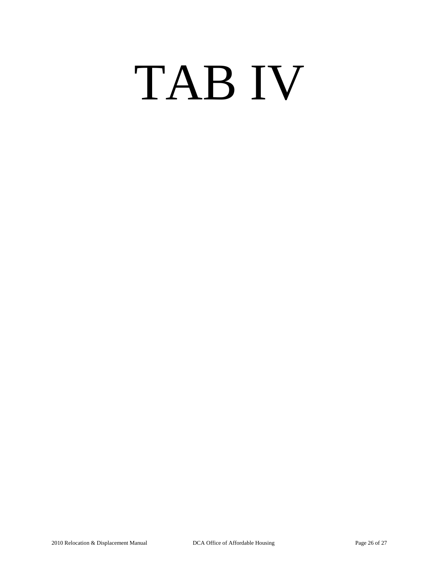# TAB IV